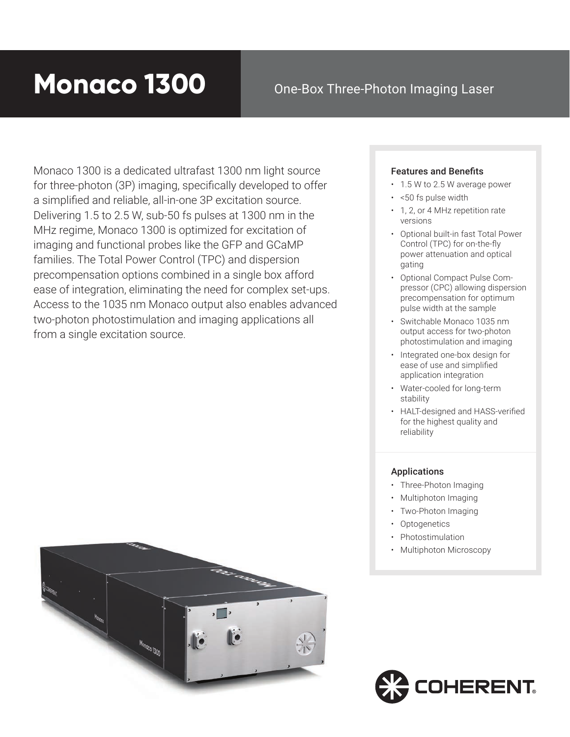# **Monaco 1300**

## One-Box Three-Photon Imaging Laser

Monaco 1300 is a dedicated ultrafast 1300 nm light source for three-photon (3P) imaging, specifically developed to offer a simplified and reliable, all-in-one 3P excitation source. Delivering 1.5 to 2.5 W, sub-50 fs pulses at 1300 nm in the MHz regime, Monaco 1300 is optimized for excitation of imaging and functional probes like the GFP and GCaMP families. The Total Power Control (TPC) and dispersion precompensation options combined in a single box afford ease of integration, eliminating the need for complex set-ups. Access to the 1035 nm Monaco output also enables advanced two-photon photostimulation and imaging applications all from a single excitation source.



#### Features and Benefits

- 1.5 W to 2.5 W average power
- <50 fs pulse width
- 1, 2, or 4 MHz repetition rate versions
- Optional built-in fast Total Power Control (TPC) for on-the-fly power attenuation and optical gating
- Optional Compact Pulse Compressor (CPC) allowing dispersion precompensation for optimum pulse width at the sample
- Switchable Monaco 1035 nm output access for two-photon photostimulation and imaging
- Integrated one-box design for ease of use and simplified application integration
- Water-cooled for long-term stability
- HALT-designed and HASS-verified for the highest quality and reliability

#### Applications

- Three-Photon Imaging
- Multiphoton Imaging
- Two-Photon Imaging
- Optogenetics
- Photostimulation
- Multiphoton Microscopy

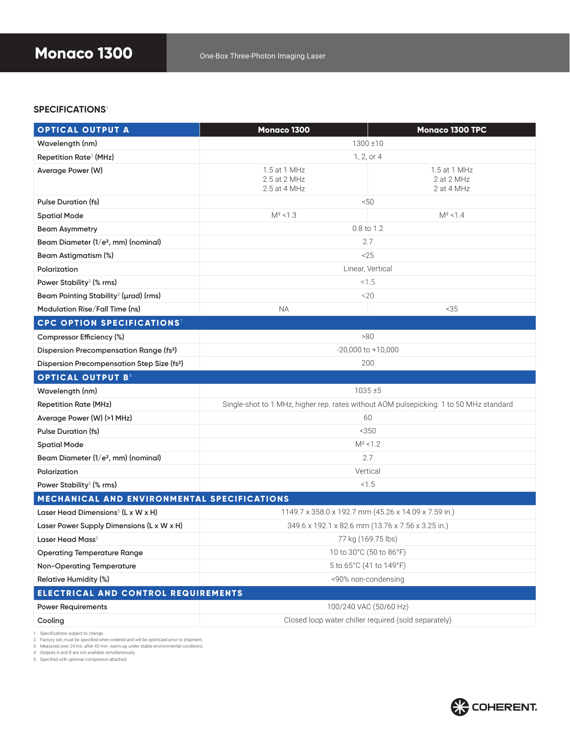#### **SPECIFICATIONS**1

| <b>OPTICAL OUTPUT A</b>                                 | Monaco 1300                                                                            | <b>Monaco 1300 TPC</b>                   |
|---------------------------------------------------------|----------------------------------------------------------------------------------------|------------------------------------------|
| Wavelength (nm)                                         | $1300 \pm 10$                                                                          |                                          |
| Repetition Rate <sup>2</sup> (MHz)                      | 1, 2, or 4                                                                             |                                          |
| Average Power (W)                                       | 1.5 at 1 MHz<br>2.5 at 2 MHz<br>2.5 at 4 MHz                                           | 1.5 at 1 MHz<br>2 at 2 MHz<br>2 at 4 MHz |
| <b>Pulse Duration (fs)</b>                              | < 50                                                                                   |                                          |
| <b>Spatial Mode</b>                                     | $M^2$ < 1.3                                                                            | $M^2$ < 1.4                              |
| <b>Beam Asymmetry</b>                                   | 0.8 to 1.2                                                                             |                                          |
| Beam Diameter (1/e <sup>2</sup> , mm) (nominal)         | 2.7                                                                                    |                                          |
| <b>Beam Astigmatism (%)</b>                             | 25                                                                                     |                                          |
| Polarization                                            | Linear, Vertical                                                                       |                                          |
| Power Stability <sup>3</sup> (% rms)                    | < 1.5                                                                                  |                                          |
| Beam Pointing Stability <sup>3</sup> (µrad) (rms)       | $<$ 20                                                                                 |                                          |
| Modulation Rise/Fall Time (ns)                          | <b>NA</b>                                                                              | < 35                                     |
| <b>CPC OPTION SPECIFICATIONS<sup>1</sup></b>            |                                                                                        |                                          |
| Compressor Efficiency (%)                               | >80                                                                                    |                                          |
| <b>Dispersion Precompensation Range (fs2)</b>           | $-20,000$ to $+10,000$                                                                 |                                          |
| Dispersion Precompensation Step Size (fs <sup>2</sup> ) | 200                                                                                    |                                          |
| <b>OPTICAL OUTPUT B4</b>                                |                                                                                        |                                          |
| Wavelength (nm)                                         | $1035 + 5$                                                                             |                                          |
| <b>Repetition Rate (MHz)</b>                            | Single-shot to 1 MHz, higher rep. rates without AOM pulsepicking: 1 to 50 MHz standard |                                          |
| Average Power (W) (>1 MHz)                              | 60                                                                                     |                                          |
| <b>Pulse Duration (fs)</b>                              | < 350                                                                                  |                                          |
| <b>Spatial Mode</b>                                     | $M^2$ < 1.2                                                                            |                                          |
| Beam Diameter (1/e <sup>2</sup> , mm) (nominal)         | 2.7                                                                                    |                                          |
| Polarization                                            | Vertical                                                                               |                                          |
| Power Stability <sup>3</sup> (% rms)                    | < 1.5                                                                                  |                                          |
| MECHANICAL AND ENVIRONMENTAL SPECIFICATIONS             |                                                                                        |                                          |
| Laser Head Dimensions <sup>5</sup> (L x W x H)          |                                                                                        |                                          |
|                                                         | 1149.7 x 358.0 x 192.7 mm (45.26 x 14.09 x 7.59 in.)                                   |                                          |
| Laser Power Supply Dimensions (L x W x H)               | 349.6 x 192.1 x 82.6 mm (13.76 x 7.56 x 3.25 in.)                                      |                                          |
| Laser Head Mass <sup>5</sup>                            | 77 kg (169.75 lbs)                                                                     |                                          |
| <b>Operating Temperature Range</b>                      | 10 to 30°C (50 to 86°F)                                                                |                                          |
| <b>Non-Operating Temperature</b>                        | 5 to 65°C (41 to 149°F)                                                                |                                          |
| Relative Humidity (%)                                   | <90% non-condensing                                                                    |                                          |
| ELECTRICAL AND CONTROL REQUIREMENTS                     |                                                                                        |                                          |
| <b>Power Requirements</b>                               | 100/240 VAC (50/60 Hz)<br>Closed loop water chiller required (sold separately)         |                                          |

1 Specifications subject to change.<br>2 Factory set, must be specified when ordered and will be optimized prior to shipment.<br>3 Measured over 24 hrs. after 45 min. warm-up under stable environmental conditions.<br>4 Outputs A an

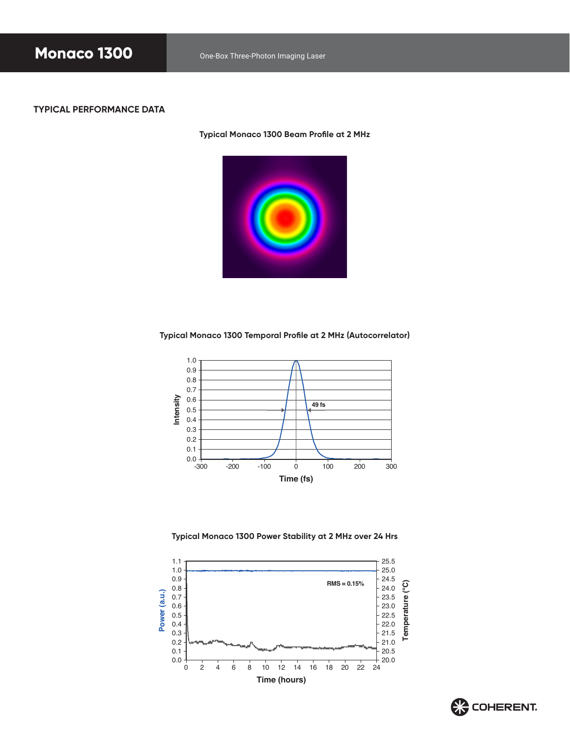#### **TYPICAL PERFORMANCE DATA**

**Typical Monaco 1300 Beam Profile at 2 MHz**



**Typical Monaco 1300 Temporal Profile at 2 MHz (Autocorrelator)**



**Typical Monaco 1300 Power Stability at 2 MHz over 24 Hrs**